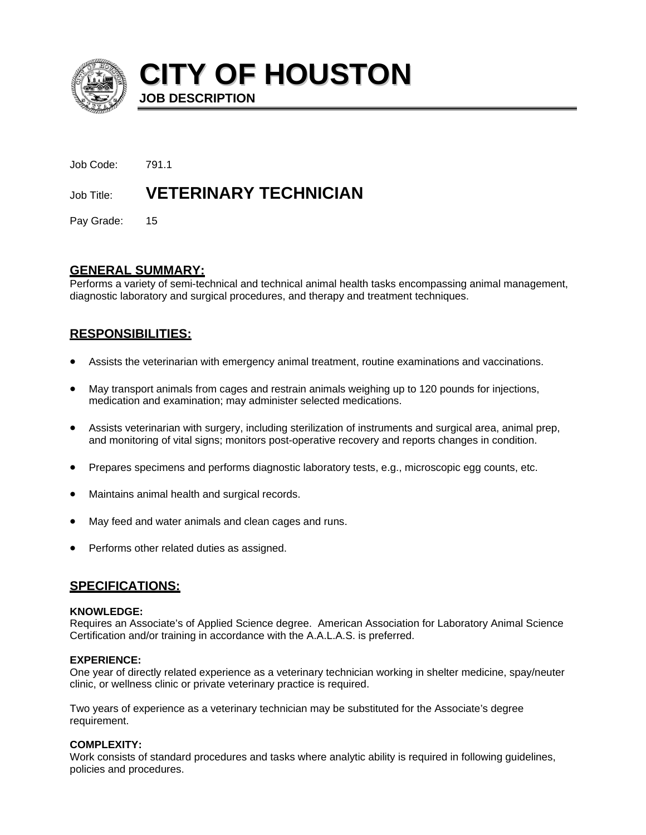

**CITY OF HOUSTON JOB DESCRIPTION** 

Job Code: 791.1 Job Title: **VETERINARY TECHNICIAN** 

Pay Grade: 15

## **GENERAL SUMMARY:**

Performs a variety of semi-technical and technical animal health tasks encompassing animal management, diagnostic laboratory and surgical procedures, and therapy and treatment techniques.

# **RESPONSIBILITIES:**

- Assists the veterinarian with emergency animal treatment, routine examinations and vaccinations.
- May transport animals from cages and restrain animals weighing up to 120 pounds for injections, medication and examination; may administer selected medications.
- Assists veterinarian with surgery, including sterilization of instruments and surgical area, animal prep, and monitoring of vital signs; monitors post-operative recovery and reports changes in condition.
- Prepares specimens and performs diagnostic laboratory tests, e.g., microscopic egg counts, etc.
- Maintains animal health and surgical records.
- May feed and water animals and clean cages and runs.
- Performs other related duties as assigned.

## **SPECIFICATIONS:**

## **KNOWLEDGE:**

Requires an Associate's of Applied Science degree. American Association for Laboratory Animal Science Certification and/or training in accordance with the A.A.L.A.S. is preferred.

## **EXPERIENCE:**

One year of directly related experience as a veterinary technician working in shelter medicine, spay/neuter clinic, or wellness clinic or private veterinary practice is required.

Two years of experience as a veterinary technician may be substituted for the Associate's degree requirement.

## **COMPLEXITY:**

Work consists of standard procedures and tasks where analytic ability is required in following guidelines, policies and procedures.